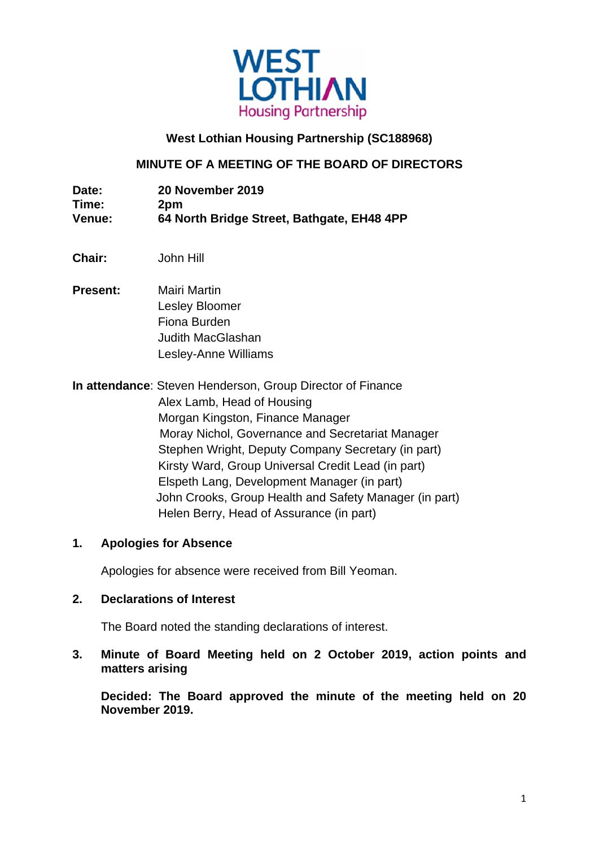

# **West Lothian Housing Partnership (SC188968)**

# **MINUTE OF A MEETING OF THE BOARD OF DIRECTORS**

| Date:         | 20 November 2019                           |
|---------------|--------------------------------------------|
| Time:         | 2pm                                        |
| <b>Venue:</b> | 64 North Bridge Street, Bathgate, EH48 4PP |

- **Chair:** John Hill
- **Present:** Mairi Martin Lesley Bloomer Fiona Burden Judith MacGlashan Lesley-Anne Williams

**In attendance**: Steven Henderson, Group Director of Finance Alex Lamb, Head of Housing Morgan Kingston, Finance Manager Moray Nichol, Governance and Secretariat Manager Stephen Wright, Deputy Company Secretary (in part) Kirsty Ward, Group Universal Credit Lead (in part) Elspeth Lang, Development Manager (in part) John Crooks, Group Health and Safety Manager (in part) Helen Berry, Head of Assurance (in part)

## **1. Apologies for Absence**

Apologies for absence were received from Bill Yeoman.

#### **2. Declarations of Interest**

The Board noted the standing declarations of interest.

**3. Minute of Board Meeting held on 2 October 2019, action points and matters arising** 

 **Decided: The Board approved the minute of the meeting held on 20 November 2019.**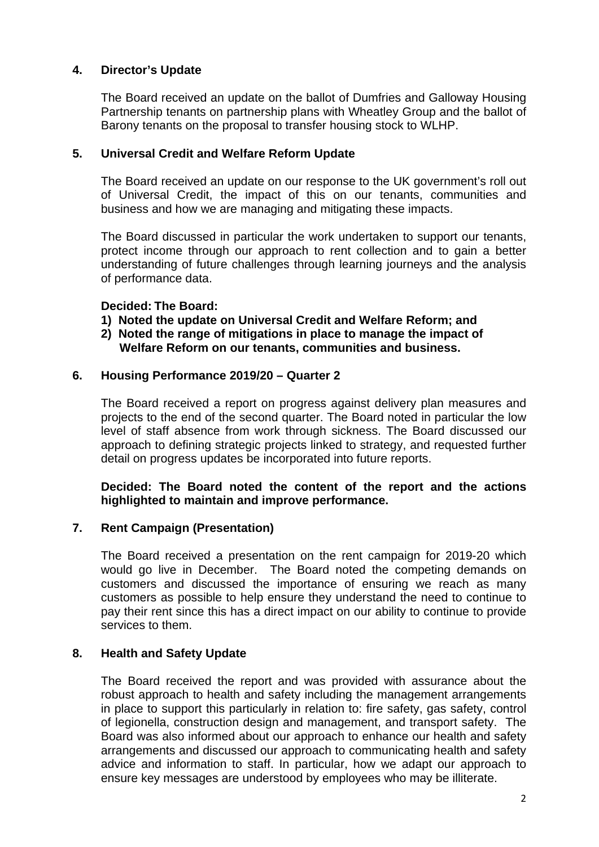# **4. Director's Update**

 The Board received an update on the ballot of Dumfries and Galloway Housing Partnership tenants on partnership plans with Wheatley Group and the ballot of Barony tenants on the proposal to transfer housing stock to WLHP.

## **5. Universal Credit and Welfare Reform Update**

 The Board received an update on our response to the UK government's roll out of Universal Credit, the impact of this on our tenants, communities and business and how we are managing and mitigating these impacts.

 The Board discussed in particular the work undertaken to support our tenants, protect income through our approach to rent collection and to gain a better understanding of future challenges through learning journeys and the analysis of performance data.

#### **Decided: The Board:**

- **1) Noted the update on Universal Credit and Welfare Reform; and**
- **2) Noted the range of mitigations in place to manage the impact of Welfare Reform on our tenants, communities and business.**

## **6. Housing Performance 2019/20 – Quarter 2**

The Board received a report on progress against delivery plan measures and projects to the end of the second quarter. The Board noted in particular the low level of staff absence from work through sickness. The Board discussed our approach to defining strategic projects linked to strategy, and requested further detail on progress updates be incorporated into future reports.

## **Decided: The Board noted the content of the report and the actions highlighted to maintain and improve performance.**

## **7. Rent Campaign (Presentation)**

 The Board received a presentation on the rent campaign for 2019-20 which would go live in December. The Board noted the competing demands on customers and discussed the importance of ensuring we reach as many customers as possible to help ensure they understand the need to continue to pay their rent since this has a direct impact on our ability to continue to provide services to them.

## **8. Health and Safety Update**

 The Board received the report and was provided with assurance about the robust approach to health and safety including the management arrangements in place to support this particularly in relation to: fire safety, gas safety, control of legionella, construction design and management, and transport safety. The Board was also informed about our approach to enhance our health and safety arrangements and discussed our approach to communicating health and safety advice and information to staff. In particular, how we adapt our approach to ensure key messages are understood by employees who may be illiterate.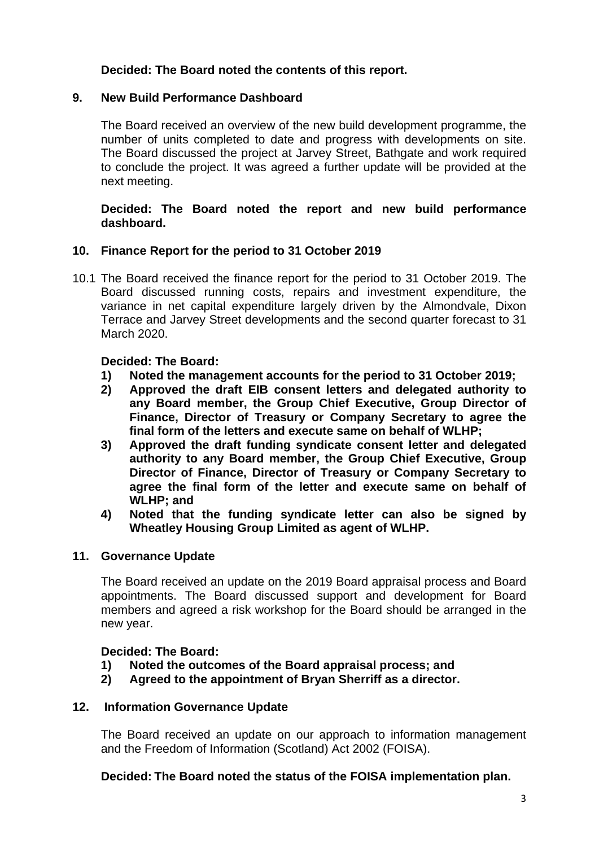# **Decided: The Board noted the contents of this report.**

## **9. New Build Performance Dashboard**

 The Board received an overview of the new build development programme, the number of units completed to date and progress with developments on site. The Board discussed the project at Jarvey Street, Bathgate and work required to conclude the project. It was agreed a further update will be provided at the next meeting.

## **Decided: The Board noted the report and new build performance dashboard.**

## **10. Finance Report for the period to 31 October 2019**

10.1 The Board received the finance report for the period to 31 October 2019. The Board discussed running costs, repairs and investment expenditure, the variance in net capital expenditure largely driven by the Almondvale, Dixon Terrace and Jarvey Street developments and the second quarter forecast to 31 March 2020.

#### **Decided: The Board:**

- **1) Noted the management accounts for the period to 31 October 2019;**
- **2) Approved the draft EIB consent letters and delegated authority to any Board member, the Group Chief Executive, Group Director of Finance, Director of Treasury or Company Secretary to agree the final form of the letters and execute same on behalf of WLHP;**
- **3) Approved the draft funding syndicate consent letter and delegated authority to any Board member, the Group Chief Executive, Group Director of Finance, Director of Treasury or Company Secretary to agree the final form of the letter and execute same on behalf of WLHP; and**
- **4) Noted that the funding syndicate letter can also be signed by Wheatley Housing Group Limited as agent of WLHP.**

#### **11. Governance Update**

 The Board received an update on the 2019 Board appraisal process and Board appointments. The Board discussed support and development for Board members and agreed a risk workshop for the Board should be arranged in the new year.

## **Decided: The Board:**

- **1) Noted the outcomes of the Board appraisal process; and**
- **2) Agreed to the appointment of Bryan Sherriff as a director.**

#### **12. Information Governance Update**

 The Board received an update on our approach to information management and the Freedom of Information (Scotland) Act 2002 (FOISA).

## **Decided: The Board noted the status of the FOISA implementation plan.**